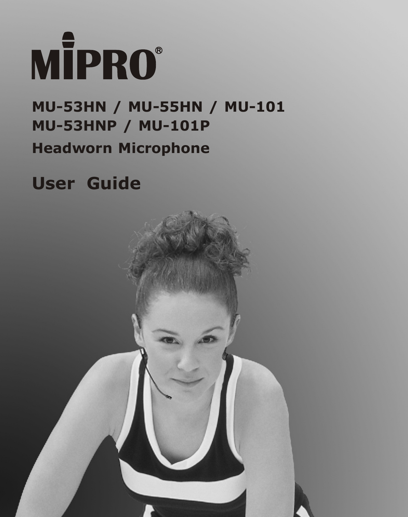

# **Headworn Microphone MU-53HN / MU-55HN / MU-101 MU-53HNP / MU-101P**

# **User Guide**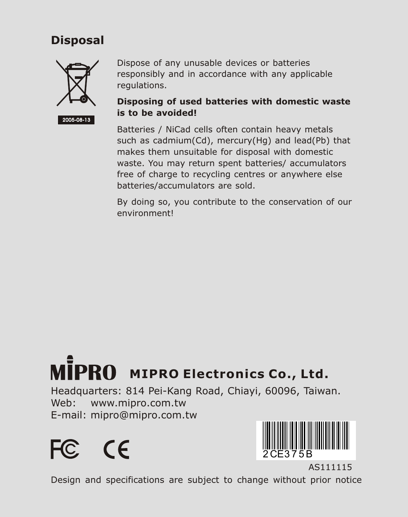#### **Disposal**



Dispose of any unusable devices or batteries responsibly and in accordance with any applicable regulations.

#### **Disposing of used batteries with domestic waste is to be avoided!**

Batteries / NiCad cells often contain heavy metals such as cadmium(Cd), mercury(Hg) and lead(Pb) that makes them unsuitable for disposal with domestic waste. You may return spent batteries/ accumulators free of charge to recycling centres or anywhere else batteries/accumulators are sold.

By doing so, you contribute to the conservation of our environment!

# **MIPRO Electronics Co., Ltd.**

Headquarters: 814 Pei-Kang Road, Chiayi, 60096, Taiwan. Web: www.mipro.com.tw E-mail: mipro@mipro.com.tw





AS111115 Design and specifications are subject to change without prior notice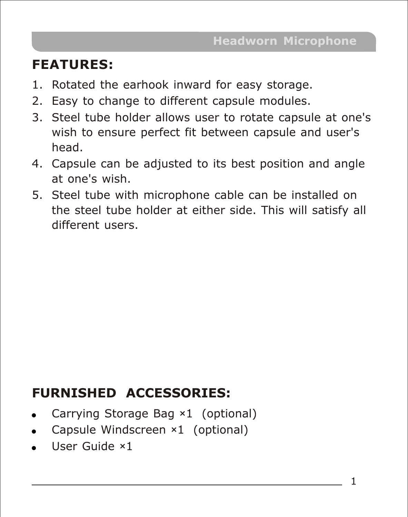# **FEATURES:**

- 1. Rotated the earhook inward for easy storage.
- 2. Easy to change to different capsule modules.
- 3. Steel tube holder allows user to rotate capsule at one's wish to ensure perfect fit between capsule and user's head.
- 4. Capsule can be adjusted to its best position and angle at one's wish.
- 5. Steel tube with microphone cable can be installed on the steel tube holder at either side. This will satisfy all different users.

# **FURNISHED ACCESSORIES:**

- . Carrying Storage Bag ×1 (optional)
- . Capsule Windscreen ×1 (optional)
- . User Guide ×1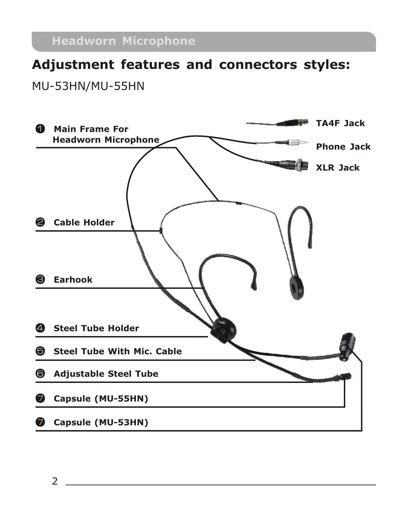# **Adjustment features and connectors styles:**

MU-53HN/MU-55HN

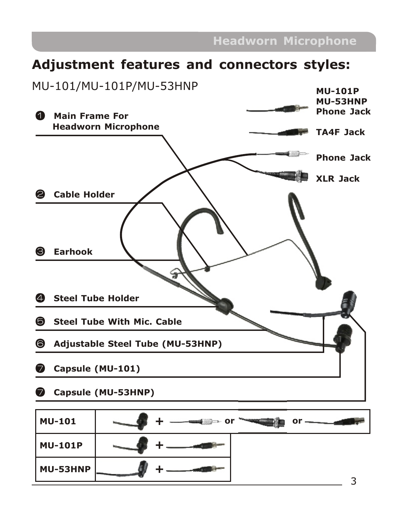#### **Headworn Microphone**

## **Adjustment features and connectors styles:**

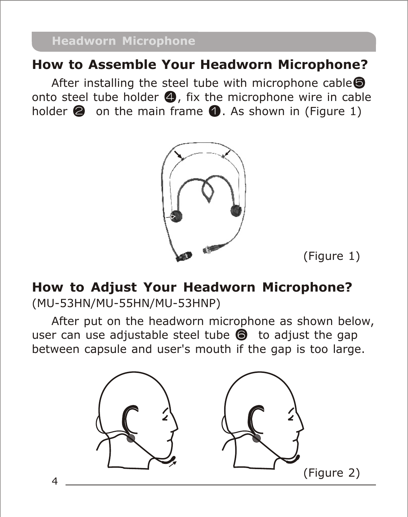# **How to Assemble Your Headworn Microphone?**

After installing the steel tube with microphone cable<sup>®</sup> onto steel tube holder  $\bigcirc$ , fix the microphone wire in cable holder  $\bullet$  on the main frame  $\bullet$ . As shown in (Figure 1)





# **How to Adjust Your Headworn Microphone?** (MU-53HN/MU-55HN/MU-53HNP)

After put on the headworn microphone as shown below, user can use adjustable steel tube  $\bigcirc$  to adjust the gap between capsule and user's mouth if the gap is too large.

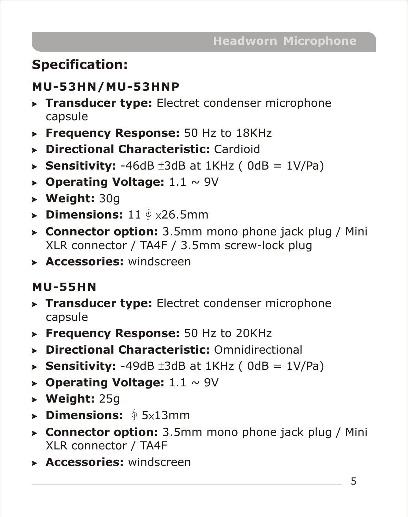# **Specification:**

# **MU-53HN/MU-53HNP**

- > **Transducer type:** Electret condenser microphone capsule
- > **Frequency Response:** 50 Hz to 18KHz
- > **Directional Characteristic:** Cardioid
- $\triangleright$  **Sensitivity:** -46dB  $\pm 3$ dB at 1KHz ( 0dB = 1V/Pa)
- > **Operating Voltage:** 1.1 ~ 9V
- > **Weight:** 30g
- **► Dimensions:** 11  $\oint$  ×26.5mm
- > **Connector option:** 3.5mm mono phone jack plug / Mini XLR connector / TA4F / 3.5mm screw-lock plug
- > **Accessories:** windscreen

# **MU-55HN**

- > **Transducer type:** Electret condenser microphone capsule
- > **Frequency Response:** 50 Hz to 20KHz
- > **Directional Characteristic:** Omnidirectional
- $\triangleright$  **Sensitivity:** -49dB  $\pm 3$ dB at 1KHz ( 0dB = 1V/Pa)
- **Dearating Voltage:**  $1.1 \sim 9V$
- > **Weight:** 25g
- **▶ Dimensions:** ∮5x13mm
- > **Connector option:** 3.5mm mono phone jack plug / Mini XLR connector / TA4F
- > **Accessories:** windscreen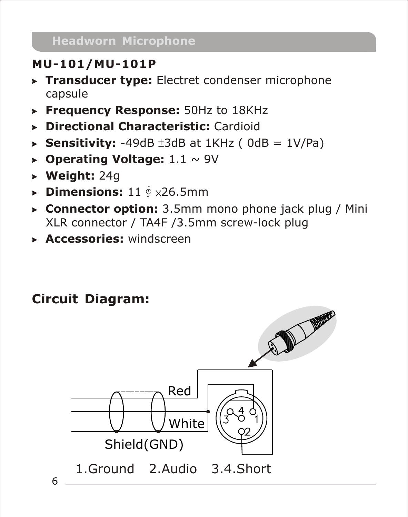# **MU-101/MU-101P**

- > **Transducer type:** Electret condenser microphone capsule
- > **Frequency Response:** 50Hz to 18KHz
- > **Directional Characteristic:** Cardioid
- $\triangleright$  **Sensitivity:** -49dB  $\pm 3$ dB at 1KHz ( 0dB = 1V/Pa)
- > **Operating Voltage:** 1.1 ~ 9V
- > **Weight:** 24g
- **► Dimensions:** 11  $\oint$  ×26.5mm
- > **Connector option:** 3.5mm mono phone jack plug / Mini XLR connector / TA4F /3.5mm screw-lock plug
- > **Accessories:** windscreen

# **Circuit Diagram:**

6

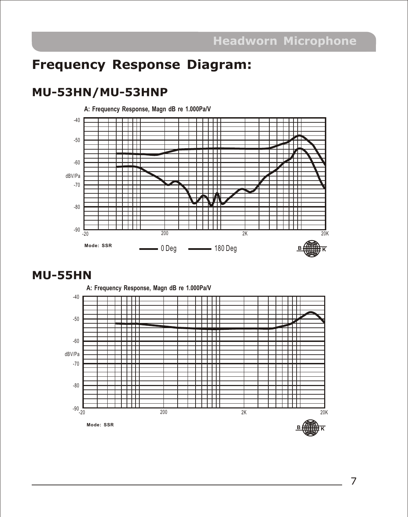# **Frequency Response Diagram:**

#### **MU-53HN/MU-53HNP**



#### **MU-55HN**



7